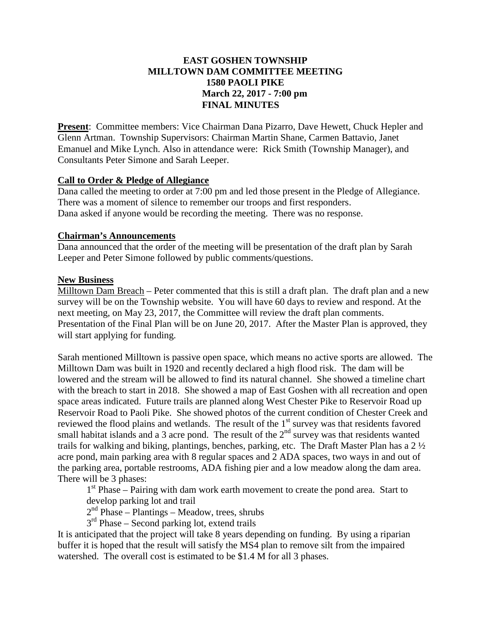# **EAST GOSHEN TOWNSHIP MILLTOWN DAM COMMITTEE MEETING 1580 PAOLI PIKE March 22, 2017 - 7:00 pm FINAL MINUTES**

**Present**: Committee members: Vice Chairman Dana Pizarro, Dave Hewett, Chuck Hepler and Glenn Artman. Township Supervisors: Chairman Martin Shane, Carmen Battavio, Janet Emanuel and Mike Lynch. Also in attendance were: Rick Smith (Township Manager), and Consultants Peter Simone and Sarah Leeper.

## **Call to Order & Pledge of Allegiance**

Dana called the meeting to order at 7:00 pm and led those present in the Pledge of Allegiance. There was a moment of silence to remember our troops and first responders. Dana asked if anyone would be recording the meeting. There was no response.

## **Chairman's Announcements**

Dana announced that the order of the meeting will be presentation of the draft plan by Sarah Leeper and Peter Simone followed by public comments/questions.

## **New Business**

Milltown Dam Breach – Peter commented that this is still a draft plan. The draft plan and a new survey will be on the Township website. You will have 60 days to review and respond. At the next meeting, on May 23, 2017, the Committee will review the draft plan comments. Presentation of the Final Plan will be on June 20, 2017. After the Master Plan is approved, they will start applying for funding.

Sarah mentioned Milltown is passive open space, which means no active sports are allowed. The Milltown Dam was built in 1920 and recently declared a high flood risk. The dam will be lowered and the stream will be allowed to find its natural channel. She showed a timeline chart with the breach to start in 2018. She showed a map of East Goshen with all recreation and open space areas indicated. Future trails are planned along West Chester Pike to Reservoir Road up Reservoir Road to Paoli Pike. She showed photos of the current condition of Chester Creek and reviewed the flood plains and wetlands. The result of the 1<sup>st</sup> survey was that residents favored small habitat islands and a 3 acre pond. The result of the  $2<sup>nd</sup>$  survey was that residents wanted trails for walking and biking, plantings, benches, parking, etc. The Draft Master Plan has a 2 ½ acre pond, main parking area with 8 regular spaces and 2 ADA spaces, two ways in and out of the parking area, portable restrooms, ADA fishing pier and a low meadow along the dam area. There will be 3 phases:

 $1<sup>st</sup>$  Phase – Pairing with dam work earth movement to create the pond area. Start to develop parking lot and trail

 $2<sup>nd</sup> Phase – Plantings – Meadow, trees, shrubs$ 

3<sup>rd</sup> Phase – Second parking lot, extend trails

It is anticipated that the project will take 8 years depending on funding. By using a riparian buffer it is hoped that the result will satisfy the MS4 plan to remove silt from the impaired watershed. The overall cost is estimated to be \$1.4 M for all 3 phases.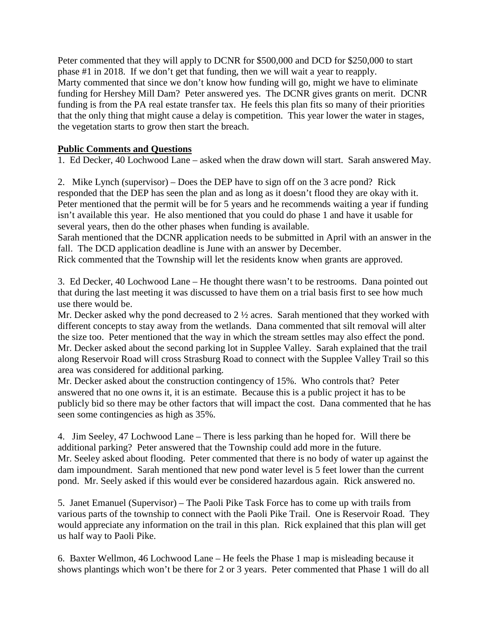Peter commented that they will apply to DCNR for \$500,000 and DCD for \$250,000 to start phase #1 in 2018. If we don't get that funding, then we will wait a year to reapply. Marty commented that since we don't know how funding will go, might we have to eliminate funding for Hershey Mill Dam? Peter answered yes. The DCNR gives grants on merit. DCNR funding is from the PA real estate transfer tax. He feels this plan fits so many of their priorities that the only thing that might cause a delay is competition. This year lower the water in stages, the vegetation starts to grow then start the breach.

# **Public Comments and Questions**

1. Ed Decker, 40 Lochwood Lane – asked when the draw down will start. Sarah answered May.

2. Mike Lynch (supervisor) – Does the DEP have to sign off on the 3 acre pond? Rick responded that the DEP has seen the plan and as long as it doesn't flood they are okay with it. Peter mentioned that the permit will be for 5 years and he recommends waiting a year if funding isn't available this year. He also mentioned that you could do phase 1 and have it usable for several years, then do the other phases when funding is available.

Sarah mentioned that the DCNR application needs to be submitted in April with an answer in the fall. The DCD application deadline is June with an answer by December.

Rick commented that the Township will let the residents know when grants are approved.

3. Ed Decker, 40 Lochwood Lane – He thought there wasn't to be restrooms. Dana pointed out that during the last meeting it was discussed to have them on a trial basis first to see how much use there would be.

Mr. Decker asked why the pond decreased to  $2\frac{1}{2}$  acres. Sarah mentioned that they worked with different concepts to stay away from the wetlands. Dana commented that silt removal will alter the size too. Peter mentioned that the way in which the stream settles may also effect the pond. Mr. Decker asked about the second parking lot in Supplee Valley. Sarah explained that the trail along Reservoir Road will cross Strasburg Road to connect with the Supplee Valley Trail so this area was considered for additional parking.

Mr. Decker asked about the construction contingency of 15%. Who controls that? Peter answered that no one owns it, it is an estimate. Because this is a public project it has to be publicly bid so there may be other factors that will impact the cost. Dana commented that he has seen some contingencies as high as 35%.

4. Jim Seeley, 47 Lochwood Lane – There is less parking than he hoped for. Will there be additional parking? Peter answered that the Township could add more in the future. Mr. Seeley asked about flooding. Peter commented that there is no body of water up against the dam impoundment. Sarah mentioned that new pond water level is 5 feet lower than the current pond. Mr. Seely asked if this would ever be considered hazardous again. Rick answered no.

5. Janet Emanuel (Supervisor) – The Paoli Pike Task Force has to come up with trails from various parts of the township to connect with the Paoli Pike Trail. One is Reservoir Road. They would appreciate any information on the trail in this plan. Rick explained that this plan will get us half way to Paoli Pike.

6. Baxter Wellmon, 46 Lochwood Lane – He feels the Phase 1 map is misleading because it shows plantings which won't be there for 2 or 3 years. Peter commented that Phase 1 will do all